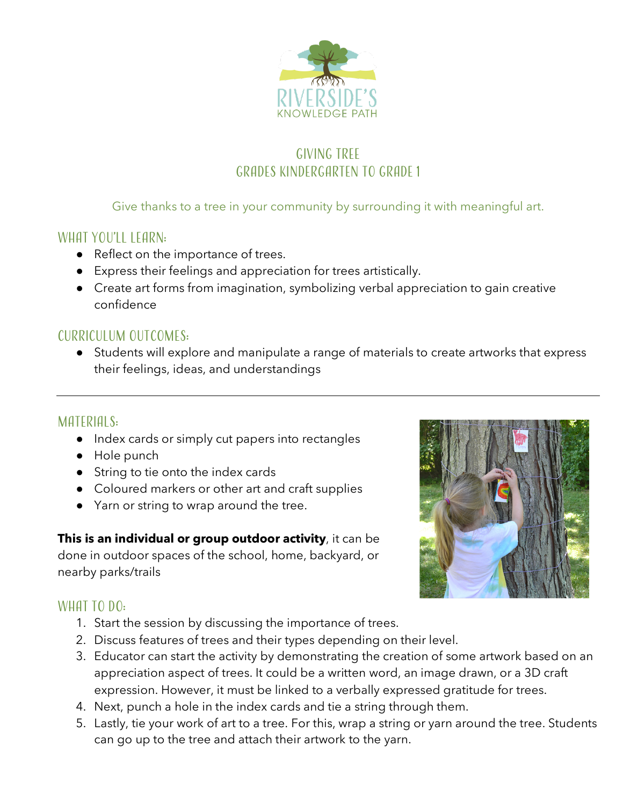

# Giving Tree Grades Kindergarten to Grade 1

#### Give thanks to a tree in your community by surrounding it with meaningful art.

## WHAT YOU'LL LEARN:

- Reflect on the importance of trees.
- Express their feelings and appreciation for trees artistically.
- Create art forms from imagination, symbolizing verbal appreciation to gain creative confidence

## Curriculum outcomes:

● Students will explore and manipulate a range of materials to create artworks that express their feelings, ideas, and understandings

## MATERIALS:

- Index cards or simply cut papers into rectangles
- Hole punch
- String to tie onto the index cards
- Coloured markers or other art and craft supplies
- Yarn or string to wrap around the tree.

**This is an individual or group outdoor activity**, it can be done in outdoor spaces of the school, home, backyard, or nearby parks/trails



## WHAT TO DO:

- 1. Start the session by discussing the importance of trees.
- 2. Discuss features of trees and their types depending on their level.
- 3. Educator can start the activity by demonstrating the creation of some artwork based on an appreciation aspect of trees. It could be a written word, an image drawn, or a 3D craft expression. However, it must be linked to a verbally expressed gratitude for trees.
- 4. Next, punch a hole in the index cards and tie a string through them.
- 5. Lastly, tie your work of art to a tree. For this, wrap a string or yarn around the tree. Students can go up to the tree and attach their artwork to the yarn.